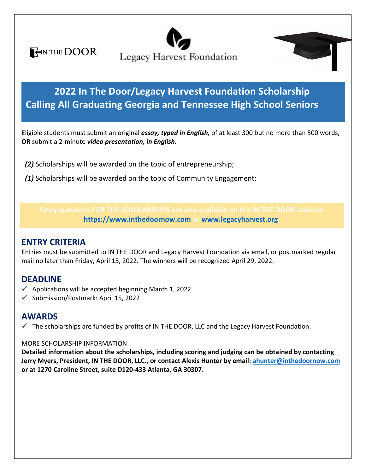**HIN THE DOOR** 





**Calling All Graduating Georgia and Tennessee High School Seniors Washipt. 2022 In The Door/Legacy Harvest Foundation Scholarship**

Eligible students must submit an original *essay, typed in English,* of at least 300 but no more than 500 words,<br>OB submit a 2 minute *vides aresentation, in English* **OR** submit a 2-minute *video presentation, in English.*

 *(2)* Scholarships will be awarded on the topic of entrepreneurship;

 *(1)* Scholarships will be awarded on the topic of Community Engagement;

**[https://www.inthedoornow.com](https://www.inthedoornow.com/) or [www.legacyharvest.org.](http://www.legacyharvest.org/)**

# **ENTRY CRITERIA**

Entries must be submitted to IN THE DOOR and Legacy Harvest Foundation via email, or postmarked regular mail no later than Friday, April 15, 2022. The winners will be recognized April 29, 2022.

# **DEADLINE**

- $\checkmark$  Applications will be accepted beginning March 1, 2022
- ✓ Submission/Postmark: April 15, 2022

# **AWARDS**

 $\checkmark$  The scholarships are funded by profits of IN THE DOOR, LLC and the Legacy Harvest Foundation.

### MORE SCHOLARSHIP INFORMATION

**Detailed information about the scholarships, including scoring and judging can be obtained by contacting Jerry Myers, President, IN THE DOOR, LLC., or contact Alexis Hunter by email[: ahunter@inthedoornow.com](mailto:ahunter@inthedoornow.com) or at 1270 Caroline Street, suite D120-433 Atlanta, GA 30307.**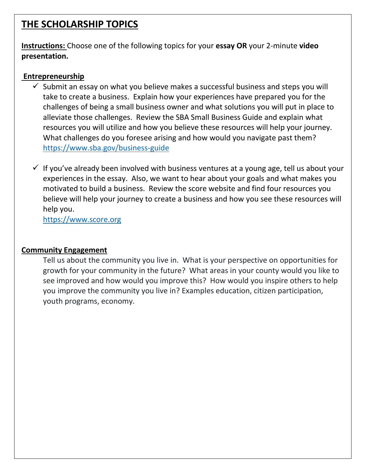# **THE SCHOLARSHIP TOPICS**

**Instructions:** Choose one of the following topics for your **essay OR** your 2-minute **video presentation.**

### **Entrepreneurship**

- $\checkmark$  Submit an essay on what you believe makes a successful business and steps you will take to create a business. Explain how your experiences have prepared you for the challenges of being a small business owner and what solutions you will put in place to alleviate those challenges. Review the SBA Small Business Guide and explain what resources you will utilize and how you believe these resources will help your journey. What challenges do you foresee arising and how would you navigate past them? <https://www.sba.gov/business-guide>
- $\checkmark$  If you've already been involved with business ventures at a young age, tell us about your experiences in the essay. Also, we want to hear about your goals and what makes you motivated to build a business. Review the score website and find four resources you believe will help your journey to create a business and how you see these resources will help you.

[https://www.score.org](https://www.score.org/)

## **Community Engagement**

Tell us about the community you live in. What is your perspective on opportunities for growth for your community in the future? What areas in your county would you like to see improved and how would you improve this? How would you inspire others to help you improve the community you live in? Examples education, citizen participation, youth programs, economy.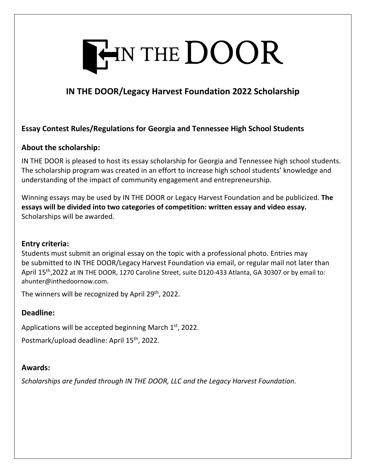

# **IN THE DOOR/Legacy Harvest Foundation 2022 Scholarship**

## **Essay Contest Rules/Regulations for Georgia and Tennessee High School Students**

### **About the scholarship:**

IN THE DOOR is pleased to host its essay scholarship for Georgia and Tennessee high school students. The scholarship program was created in an effort to increase high school students' knowledge and understanding of the impact of community engagement and entrepreneurship.

Winning essays may be used by IN THE DOOR or Legacy Harvest Foundation and be publicized. **The essays will be divided into two categories of competition: written essay and video essay.** Scholarships will be awarded.

### **Entry criteria:**

Students must submit an original essay on the topic with a professional photo. Entries may be submitted to IN THE DOOR/Legacy Harvest Foundation via email, or regular mail not later than April 15<sup>th</sup>,2022 at IN THE DOOR, 1270 Caroline Street, suite D120-433 Atlanta, GA 30307 or by email to: ahunter@inthedoornow.com.

The winners will be recognized by April 29<sup>th</sup>, 2022.

### **Deadline:**

Applications will be accepted beginning March 1st, 2022.

Postmark/upload deadline: April 15<sup>th</sup>, 2022.

### **Awards:**

*Scholarships are funded through IN THE DOOR, LLC and the Legacy Harvest Foundation.*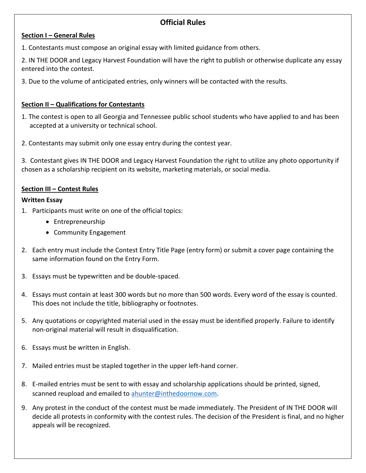# **Official Rules**

### **Section I – General Rules**

1. Contestants must compose an original essay with limited guidance from others.

2. IN THE DOOR and Legacy Harvest Foundation will have the right to publish or otherwise duplicate any essay entered into the contest.

3. Due to the volume of anticipated entries, only winners will be contacted with the results.

#### **Section II – Qualifications for Contestants**

- 1. The contest is open to all Georgia and Tennessee public school students who have applied to and has been accepted at a university or technical school.
- 2. Contestants may submit only one essay entry during the contest year.

3. Contestant gives IN THE DOOR and Legacy Harvest Foundation the right to utilize any photo opportunity if chosen as a scholarship recipient on its website, marketing materials, or social media.

#### **Section III – Contest Rules**

#### **Written Essay**

- 1. Participants must write on one of the official topics:
	- Entrepreneurship
	- Community Engagement
- 2. Each entry must include the Contest Entry Title Page (entry form) or submit a cover page containing the same information found on the Entry Form.
- 3. Essays must be typewritten and be double-spaced.
- 4. Essays must contain at least 300 words but no more than 500 words. Every word of the essay is counted. This does not include the title, bibliography or footnotes.
- 5. Any quotations or copyrighted material used in the essay must be identified properly. Failure to identify non-original material will result in disqualification.
- 6. Essays must be written in English.
- 7. Mailed entries must be stapled together in the upper left-hand corner.
- 8. E-mailed entries must be sent to with essay and scholarship applications should be printed, signed, scanned reupload and emailed to [ahunter@inthedoornow.com.](mailto:ahunter@inthedoornow.com)
- 9. Any protest in the conduct of the contest must be made immediately. The President of IN THE DOOR will decide all protests in conformity with the contest rules. The decision of the President is final, and no higher appeals will be recognized.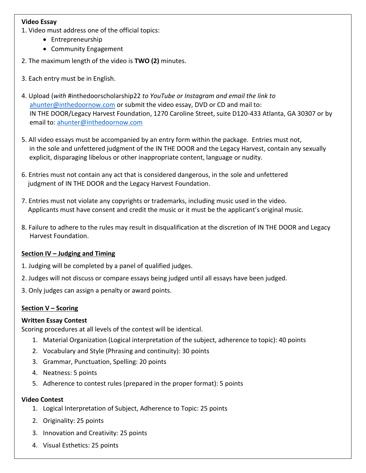### **Video Essay**

1. Video must address one of the official topics:

- Entrepreneurship
- Community Engagement
- 2. The maximum length of the video is **TWO (2)** minutes.
- 3. Each entry must be in English.
- 4. Upload (*with* #inthedoorscholarship22 *to YouTube or Instagram and email the link to*  [ahunter@inthedoornow.com](mailto:ahunter@inthedoornow.com) or submit the video essay, DVD or CD and mail to: IN THE DOOR/Legacy Harvest Foundation, 1270 Caroline Street, suite D120-433 Atlanta, GA 30307 or by email to: [ahunter@inthedoornow.com](mailto:ahunter@inthedoornow.com)
- 5. All video essays must be accompanied by an entry form within the package. Entries must not, in the sole and unfettered judgment of the IN THE DOOR and the Legacy Harvest, contain any sexually explicit, disparaging libelous or other inappropriate content, language or nudity.
- 6. Entries must not contain any act that is considered dangerous, in the sole and unfettered judgment of IN THE DOOR and the Legacy Harvest Foundation.
- 7. Entries must not violate any copyrights or trademarks, including music used in the video. Applicants must have consent and credit the music or it must be the applicant's original music.
- 8. Failure to adhere to the rules may result in disqualification at the discretion of IN THE DOOR and Legacy Harvest Foundation.

### **Section IV – Judging and Timing**

- 1. Judging will be completed by a panel of qualified judges.
- 2. Judges will not discuss or compare essays being judged until all essays have been judged.
- 3. Only judges can assign a penalty or award points.

### **Section V – Scoring**

#### **Written Essay Contest**

Scoring procedures at all levels of the contest will be identical.

- 1. Material Organization (Logical interpretation of the subject, adherence to topic): 40 points
- 2. Vocabulary and Style (Phrasing and continuity): 30 points
- 3. Grammar, Punctuation, Spelling: 20 points
- 4. Neatness: 5 points
- 5. Adherence to contest rules (prepared in the proper format): 5 points

#### **Video Contest**

- 1. Logical Interpretation of Subject, Adherence to Topic: 25 points
- 2. Originality: 25 points
- 3. Innovation and Creativity: 25 points
- 4. Visual Esthetics: 25 points